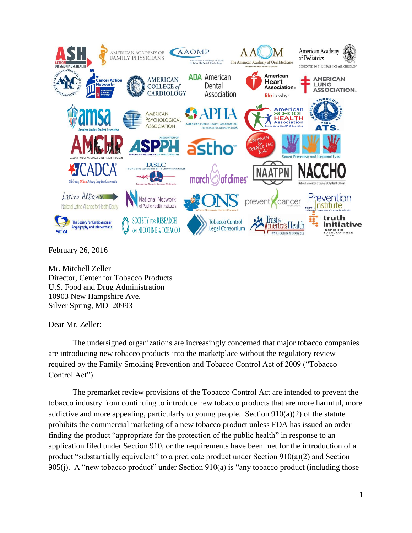

February 26, 2016

Mr. Mitchell Zeller Director, Center for Tobacco Products U.S. Food and Drug Administration 10903 New Hampshire Ave. Silver Spring, MD 20993

Dear Mr. Zeller:

The undersigned organizations are increasingly concerned that major tobacco companies are introducing new tobacco products into the marketplace without the regulatory review required by the Family Smoking Prevention and Tobacco Control Act of 2009 ("Tobacco Control Act").

The premarket review provisions of the Tobacco Control Act are intended to prevent the tobacco industry from continuing to introduce new tobacco products that are more harmful, more addictive and more appealing, particularly to young people. Section  $910(a)(2)$  of the statute prohibits the commercial marketing of a new tobacco product unless FDA has issued an order finding the product "appropriate for the protection of the public health" in response to an application filed under Section 910, or the requirements have been met for the introduction of a product "substantially equivalent" to a predicate product under Section  $910(a)(2)$  and Section 905(j). A "new tobacco product" under Section 910(a) is "any tobacco product (including those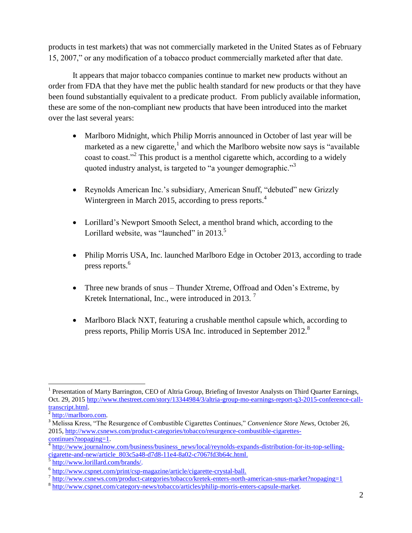products in test markets) that was not commercially marketed in the United States as of February 15, 2007," or any modification of a tobacco product commercially marketed after that date.

It appears that major tobacco companies continue to market new products without an order from FDA that they have met the public health standard for new products or that they have been found substantially equivalent to a predicate product. From publicly available information, these are some of the non-compliant new products that have been introduced into the market over the last several years:

- Marlboro Midnight, which Philip Morris announced in October of last year will be marketed as a new cigarette,<sup>1</sup> and which the Marlboro website now says is "available" coast to coast."<sup>2</sup> This product is a menthol cigarette which, according to a widely quoted industry analyst, is targeted to "a younger demographic."<sup>3</sup>
- Reynolds American Inc.'s subsidiary, American Snuff, "debuted" new Grizzly Wintergreen in March 2015, according to press reports.<sup>4</sup>
- Lorillard's Newport Smooth Select, a menthol brand which, according to the Lorillard website, was "launched" in  $2013$ .<sup>5</sup>
- Philip Morris USA, Inc. launched Marlboro Edge in October 2013, according to trade press reports.<sup>6</sup>
- Three new brands of snus Thunder Xtreme, Offroad and Oden's Extreme, by Kretek International, Inc., were introduced in 2013.<sup>7</sup>
- Marlboro Black NXT, featuring a crushable menthol capsule which, according to press reports, Philip Morris USA Inc. introduced in September 2012.<sup>8</sup>

[http://www.lorillard.com/brands/.](http://www.lorillard.com/brands/)

 $\overline{\phantom{a}}$ <sup>1</sup> Presentation of Marty Barrington, CEO of Altria Group, Briefing of Investor Analysts on Third Quarter Earnings, Oct. 29, 2015 [http://www.thestreet.com/story/13344984/3/altria-group-mo-earnings-report-q3-2015-conference-call](http://www.thestreet.com/story/13344984/3/altria-group-mo-earnings-report-q3-2015-conference-call-transcript.html)[transcript.html.](http://www.thestreet.com/story/13344984/3/altria-group-mo-earnings-report-q3-2015-conference-call-transcript.html)

<sup>&</sup>lt;sup>2</sup> [http://marlboro.com.](http://marlboro.com/)

<sup>&</sup>lt;sup>3</sup> Melissa Kress, "The Resurgence of Combustible Cigarettes Continues," *Convenience Store News*, October 26, 2015, [http://www.csnews.com/product-categories/tobacco/resurgence-combustible-cigarettes](http://www.csnews.com/product-categories/tobacco/resurgence-combustible-cigarettes-continues?nopaging=1)[continues?nopaging=1.](http://www.csnews.com/product-categories/tobacco/resurgence-combustible-cigarettes-continues?nopaging=1)

<sup>4</sup> [http://www.journalnow.com/business/business\\_news/local/reynolds-expands-distribution-for-its-top-selling](http://www.journalnow.com/business/business_news/local/reynolds-expands-distribution-for-its-top-selling-cigarette-and-new/article_803c5a48-d7d8-11e4-8a02-c7067fd3b64c.html)cigarette-and-new/article 803c5a48-d7d8-11e4-8a02-c7067fd3b64c.html.

<sup>&</sup>lt;sup>6</sup> [http://www.cspnet.com/print/csp-magazine/article/cigarette-crystal-ball.](http://www.cspnet.com/print/csp-magazine/article/cigarette-crystal-ball)

<sup>&</sup>lt;sup>7</sup> <http://www.csnews.com/product-categories/tobacco/kretek-enters-north-american-snus-market?nopaging=1>

<sup>&</sup>lt;sup>8</sup> [http://www.cspnet.com/category-news/tobacco/articles/philip-morris-enters-capsule-market.](http://www.cspnet.com/category-news/tobacco/articles/philip-morris-enters-capsule-market)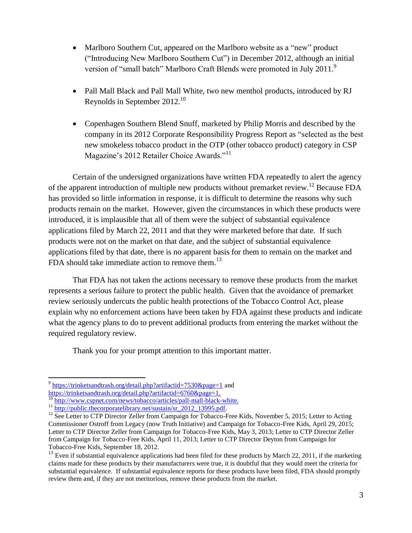- Marlboro Southern Cut, appeared on the Marlboro website as a "new" product ("Introducing New Marlboro Southern Cut") in December 2012, although an initial version of "small batch" Marlboro Craft Blends were promoted in July 2011.<sup>9</sup>
- Pall Mall Black and Pall Mall White, two new menthol products, introduced by RJ Reynolds in September  $2012.^{10}$
- Copenhagen Southern Blend Snuff, marketed by Philip Morris and described by the company in its 2012 Corporate Responsibility Progress Report as "selected as the best new smokeless tobacco product in the OTP (other tobacco product) category in CSP Magazine's 2012 Retailer Choice Awards."<sup>11</sup>

Certain of the undersigned organizations have written FDA repeatedly to alert the agency of the apparent introduction of multiple new products without premarket review.<sup>12</sup> Because FDA has provided so little information in response, it is difficult to determine the reasons why such products remain on the market. However, given the circumstances in which these products were introduced, it is implausible that all of them were the subject of substantial equivalence applications filed by March 22, 2011 and that they were marketed before that date. If such products were not on the market on that date, and the subject of substantial equivalence applications filed by that date, there is no apparent basis for them to remain on the market and FDA should take immediate action to remove them.<sup>13</sup>

That FDA has not taken the actions necessary to remove these products from the market represents a serious failure to protect the public health. Given that the avoidance of premarket review seriously undercuts the public health protections of the Tobacco Control Act, please explain why no enforcement actions have been taken by FDA against these products and indicate what the agency plans to do to prevent additional products from entering the market without the required regulatory review.

Thank you for your prompt attention to this important matter.

l

<sup>&</sup>lt;sup>9</sup> <https://trinketsandtrash.org/detail.php?artifactid=7530&page=1> and

[https://trinketsandtrash.org/detail.php?artifactid=6760&page=1.](https://trinketsandtrash.org/detail.php?artifactid=6760&page=1)

<sup>&</sup>lt;sup>10</sup> [http://www.cspnet.com/news/tobacco/articles/pall-mall-black-white.](http://www.cspnet.com/news/tobacco/articles/pall-mall-black-white)

<sup>&</sup>lt;sup>11</sup> [http://public.thecorporatelibrary.net/sustain/sr\\_2012\\_13995.pdf.](http://public.thecorporatelibrary.net/sustain/sr_2012_13995.pdf)

<sup>&</sup>lt;sup>12</sup> See Letter to CTP Director Zeller from Campaign for Tobacco-Free Kids, November 5, 2015; Letter to Acting Commissioner Ostroff from Legacy (now Truth Initiative) and Campaign for Tobacco-Free Kids, April 29, 2015; Letter to CTP Director Zeller from Campaign for Tobacco-Free Kids, May 3, 2013; Letter to CTP Director Zeller from Campaign for Tobacco-Free Kids, April 11, 2013; Letter to CTP Director Deyton from Campaign for Tobacco-Free Kids, September 18, 2012.

 $13$  Even if substantial equivalence applications had been filed for these products by March 22, 2011, if the marketing claims made for these products by their manufacturers were true, it is doubtful that they would meet the criteria for substantial equivalence. If substantial equivalence reports for these products have been filed, FDA should promptly review them and, if they are not meritorious, remove these products from the market.